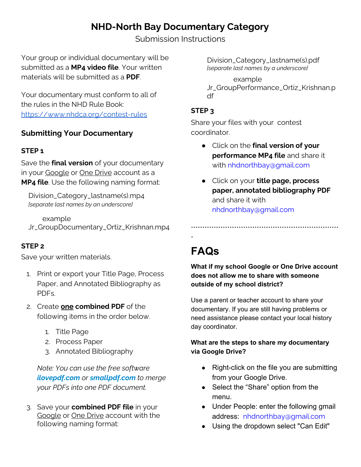## **NHD-North Bay Documentary Category**

Submission Instructions

Your group or individual documentary will be submitted as a **MP4 video file**. Your written materials will be submitted as a **PDF**.

Your documentary must conform to all of the rules in the NHD Rule Book: <https://www.nhdca.org/contest-rules>

### **Submitting Your Documentary**

#### **STEP 1**

Save the **final version** of your documentary in your Google or One Drive account as a **MP4 file**. Use the following naming format:

Division\_Category\_lastname(s).mp4 *[separate last names by an underscore]*

example Jr\_GroupDocumentary\_Ortiz\_Krishnan.mp4

### **STEP 2**

Save your written materials.

- 1. Print or export your Title Page, Process Paper, and Annotated Bibliography as PDFs.
- 2. Create **one combined PDF** of the following items in the order below.
	- 1. Title Page
	- 2. Process Paper
	- 3. Annotated Bibliography

*Note: You can use the free software ilovepdf.com or smallpdf.com to merge your PDFs into one PDF document.*

3. Save your **combined PDF file** in your Google or One Drive account with the following naming format:

Division\_Category\_lastname(s).pdf *[separate last names by a underscore]*

example Jr\_GroupPerformance\_Ortiz\_Krishnan.p df

#### **STEP 3**

Share your files with your contest coordinator.

- Click on the **final version of your performance MP4 file** and share it with nhdnorthbay@gmail.com
- Click on your **title page, process paper, annotated bibliography PDF** and share it with nhdnorthbay@gmail.com

\*\*\*\*\*\*\*\*\*\*\*\*\*\*\*\*\*\*\*\*\*\*\*\*\*\*\*\*\*\*\*\*\*\*\*\*\*\*\*\*\*\*\*\*\*\*\*\*\*\*\*\*\*\*\*\*\*\*\*\*\*\*\*\*\*

# **FAQs**

\*

**What if my school Google or One Drive account does not allow me to share with someone outside of my school district?**

Use a parent or teacher account to share your documentary. If you are still having problems or need assistance please contact your local history day coordinator.

#### **What are the steps to share my documentary via Google Drive?**

- Right-click on the file you are submitting from your Google Drive.
- Select the "Share" option from the menu.
- Under People: enter the following gmail address: nhdnorthbay@gmail.com
- Using the dropdown select "Can Edit"